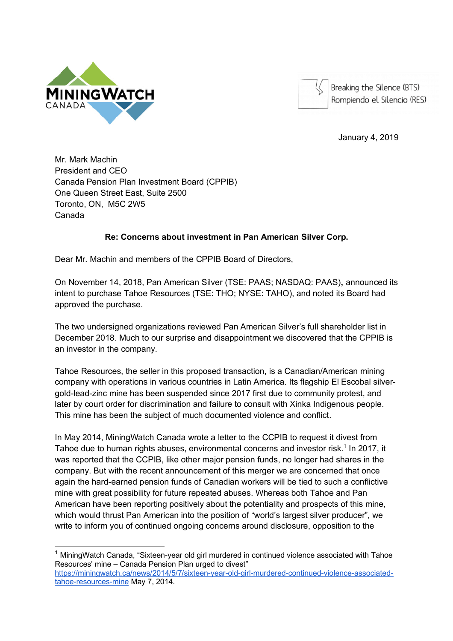



Breaking the Silence (BTS) Rompiendo el Silencio (RES)

January 4, 2019

Mr. Mark Machin President and CEO Canada Pension Plan Investment Board (CPPIB) One Queen Street East, Suite 2500 Toronto, ON, M5C 2W5 Canada

## **Re: Concerns about investment in Pan American Silver Corp.**

Dear Mr. Machin and members of the CPPIB Board of Directors,

On November 14, 2018, Pan American Silver (TSE: PAAS; NASDAQ: PAAS)**,** announced its intent to purchase Tahoe Resources (TSE: THO; NYSE: TAHO), and noted its Board had approved the purchase.

The two undersigned organizations reviewed Pan American Silver's full shareholder list in December 2018. Much to our surprise and disappointment we discovered that the CPPIB is an investor in the company.

Tahoe Resources, the seller in this proposed transaction, is a Canadian/American mining company with operations in various countries in Latin America. Its flagship El Escobal silvergold-lead-zinc mine has been suspended since 2017 first due to community protest, and later by court order for discrimination and failure to consult with Xinka Indigenous people. This mine has been the subject of much documented violence and conflict.

In May 2014, MiningWatch Canada wrote a letter to the CCPIB to request it divest from Tahoe due to human rights abuses, environmental concerns and investor risk.<sup>1</sup> In 2017, it was reported that the CCPIB, like other major pension funds, no longer had shares in the company. But with the recent announcement of this merger we are concerned that once again the hard-earned pension funds of Canadian workers will be tied to such a conflictive mine with great possibility for future repeated abuses. Whereas both Tahoe and Pan American have been reporting positively about the potentiality and prospects of this mine, which would thrust Pan American into the position of "world's largest silver producer", we write to inform you of continued ongoing concerns around disclosure, opposition to the

 $1$  MiningWatch Canada, "Sixteen-year old girl murdered in continued violence associated with Tahoe Resources' mine – Canada Pension Plan urged to divest"

https://miningwatch.ca/news/2014/5/7/sixteen-year-old-girl-murdered-continued-violence-associatedtahoe-resources-mine May 7, 2014.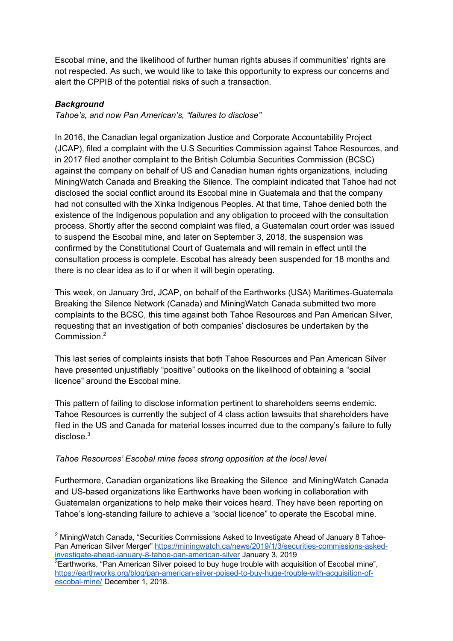Escobal mine, and the likelihood of further human rights abuses if communities' rights are not respected. As such, we would like to take this opportunity to express our concerns and alert the CPPIB of the potential risks of such a transaction.

## *Background*

*Tahoe's, and now Pan American's, "failures to disclose"* 

In 2016, the Canadian legal organization Justice and Corporate Accountability Project (JCAP), filed a complaint with the U.S Securities Commission against Tahoe Resources, and in 2017 filed another complaint to the British Columbia Securities Commission (BCSC) against the company on behalf of US and Canadian human rights organizations, including MiningWatch Canada and Breaking the Silence. The complaint indicated that Tahoe had not disclosed the social conflict around its Escobal mine in Guatemala and that the company had not consulted with the Xinka Indigenous Peoples. At that time, Tahoe denied both the existence of the Indigenous population and any obligation to proceed with the consultation process. Shortly after the second complaint was filed, a Guatemalan court order was issued to suspend the Escobal mine, and later on September 3, 2018, the suspension was confirmed by the Constitutional Court of Guatemala and will remain in effect until the consultation process is complete. Escobal has already been suspended for 18 months and there is no clear idea as to if or when it will begin operating.

This week, on January 3rd, JCAP, on behalf of the Earthworks (USA) Maritimes-Guatemala Breaking the Silence Network (Canada) and MiningWatch Canada submitted two more complaints to the BCSC, this time against both Tahoe Resources and Pan American Silver, requesting that an investigation of both companies' disclosures be undertaken by the Commission<sup>2</sup>

This last series of complaints insists that both Tahoe Resources and Pan American Silver have presented unjustifiably "positive" outlooks on the likelihood of obtaining a "social licence" around the Escobal mine.

This pattern of failing to disclose information pertinent to shareholders seems endemic. Tahoe Resources is currently the subject of 4 class action lawsuits that shareholders have filed in the US and Canada for material losses incurred due to the company's failure to fully disclose $3$ 

## *Tahoe Resources' Escobal mine faces strong opposition at the local level*

Furthermore, Canadian organizations like Breaking the Silence and MiningWatch Canada and US-based organizations like Earthworks have been working in collaboration with Guatemalan organizations to help make their voices heard. They have been reporting on Tahoe's long-standing failure to achieve a "social licence" to operate the Escobal mine.

<sup>&</sup>lt;sup>2</sup> MiningWatch Canada, "Securities Commissions Asked to Investigate Ahead of January 8 Tahoe-Pan American Silver Merger" https://miningwatch.ca/news/2019/1/3/securities-commissions-askedinvestigate-ahead-january-8-tahoe-pan-american-silver January 3, 2019

 ${}^{3}$ Earthworks, "Pan American Silver poised to buy huge trouble with acquisition of Escobal mine", https://earthworks.org/blog/pan-american-silver-poised-to-buy-huge-trouble-with-acquisition-ofescobal-mine/ December 1, 2018.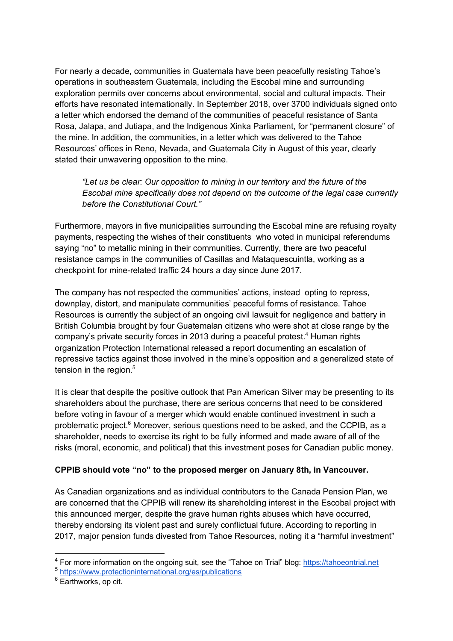For nearly a decade, communities in Guatemala have been peacefully resisting Tahoe's operations in southeastern Guatemala, including the Escobal mine and surrounding exploration permits over concerns about environmental, social and cultural impacts. Their efforts have resonated internationally. In September 2018, over 3700 individuals signed onto a letter which endorsed the demand of the communities of peaceful resistance of Santa Rosa, Jalapa, and Jutiapa, and the Indigenous Xinka Parliament, for "permanent closure" of the mine. In addition, the communities, in a letter which was delivered to the Tahoe Resources' offices in Reno, Nevada, and Guatemala City in August of this year, clearly stated their unwavering opposition to the mine.

*"Let us be clear: Our opposition to mining in our territory and the future of the Escobal mine specifically does not depend on the outcome of the legal case currently before the Constitutional Court."*

Furthermore, mayors in five municipalities surrounding the Escobal mine are refusing royalty payments, respecting the wishes of their constituents who voted in municipal referendums saying "no" to metallic mining in their communities. Currently, there are two peaceful resistance camps in the communities of Casillas and Mataquescuintla, working as a checkpoint for mine-related traffic 24 hours a day since June 2017.

The company has not respected the communities' actions, instead opting to repress, downplay, distort, and manipulate communities' peaceful forms of resistance. Tahoe Resources is currently the subject of an ongoing civil lawsuit for negligence and battery in British Columbia brought by four Guatemalan citizens who were shot at close range by the company's private security forces in 2013 during a peaceful protest.<sup>4</sup> Human rights organization Protection International released a report documenting an escalation of repressive tactics against those involved in the mine's opposition and a generalized state of tension in the region.<sup>5</sup>

It is clear that despite the positive outlook that Pan American Silver may be presenting to its shareholders about the purchase, there are serious concerns that need to be considered before voting in favour of a merger which would enable continued investment in such a problematic project.<sup>6</sup> Moreover, serious questions need to be asked, and the CCPIB, as a shareholder, needs to exercise its right to be fully informed and made aware of all of the risks (moral, economic, and political) that this investment poses for Canadian public money.

## **CPPIB should vote "no" to the proposed merger on January 8th, in Vancouver.**

As Canadian organizations and as individual contributors to the Canada Pension Plan, we are concerned that the CPPIB will renew its shareholding interest in the Escobal project with this announced merger, despite the grave human rights abuses which have occurred, thereby endorsing its violent past and surely conflictual future. According to reporting in 2017, major pension funds divested from Tahoe Resources, noting it a "harmful investment"

 <sup>4</sup> For more information on the ongoing suit, see the "Tahoe on Trial" blog: https://tahoeontrial.net

<sup>5</sup> https://www.protectioninternational.org/es/publications

<sup>&</sup>lt;sup>6</sup> Earthworks, op cit.